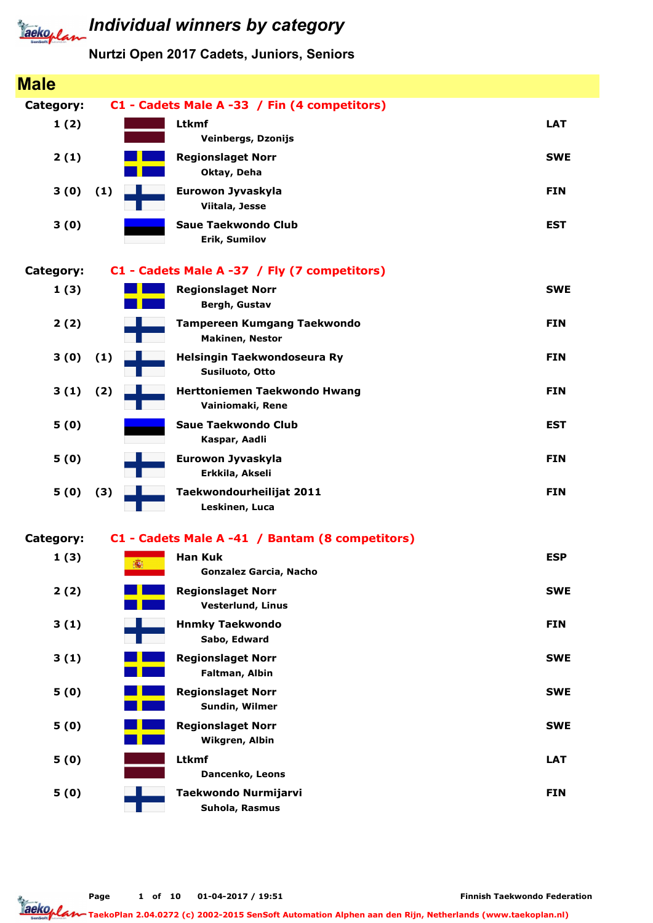

| <b>Male</b> |     |                                                              |            |
|-------------|-----|--------------------------------------------------------------|------------|
| Category:   |     | C1 - Cadets Male A -33 / Fin (4 competitors)                 |            |
| 1(2)        |     | <b>Ltkmf</b><br><b>Veinbergs, Dzonijs</b>                    | <b>LAT</b> |
| 2(1)        |     | <b>Regionslaget Norr</b><br>Oktay, Deha                      | <b>SWE</b> |
| 3(0)        | (1) | Eurowon Jyvaskyla<br>Viitala, Jesse                          | <b>FIN</b> |
| 3(0)        |     | <b>Saue Taekwondo Club</b><br>Erik, Sumilov                  | <b>EST</b> |
| Category:   |     | C1 - Cadets Male A -37 / Fly (7 competitors)                 |            |
| 1(3)        |     | <b>Regionslaget Norr</b><br>Bergh, Gustav                    | <b>SWE</b> |
| 2(2)        |     | <b>Tampereen Kumgang Taekwondo</b><br><b>Makinen, Nestor</b> | <b>FIN</b> |
| 3(0)        | (1) | Helsingin Taekwondoseura Ry<br>Susiluoto, Otto               | <b>FIN</b> |
| 3(1)        | (2) | Herttoniemen Taekwondo Hwang<br>Vainiomaki, Rene             | <b>FIN</b> |
| 5(0)        |     | Saue Taekwondo Club<br>Kaspar, Aadli                         | <b>EST</b> |
| 5(0)        |     | Eurowon Jyvaskyla<br>Erkkila, Akseli                         | <b>FIN</b> |
| 5(0)        | (3) | Taekwondourheilijat 2011<br>Leskinen, Luca                   | <b>FIN</b> |
| Category:   |     | C1 - Cadets Male A -41 / Bantam (8 competitors)              |            |
| 1(3)        | 痛   | <b>Han Kuk</b><br>Gonzalez Garcia, Nacho                     | <b>ESP</b> |
| 2(2)        |     | <b>Regionslaget Norr</b><br><b>Vesterlund, Linus</b>         | <b>SWE</b> |
| 3(1)        |     | <b>Hnmky Taekwondo</b><br>Sabo, Edward                       | <b>FIN</b> |
| 3(1)        |     | <b>Regionslaget Norr</b><br>Faltman, Albin                   | <b>SWE</b> |
| 5(0)        |     | <b>Regionslaget Norr</b><br>Sundin, Wilmer                   | <b>SWE</b> |
| 5(0)        |     | <b>Regionslaget Norr</b><br>Wikgren, Albin                   | <b>SWE</b> |
| 5(0)        |     | <b>Ltkmf</b><br>Dancenko, Leons                              | <b>LAT</b> |
| 5(0)        |     | Taekwondo Nurmijarvi<br>Suhola, Rasmus                       | <b>FIN</b> |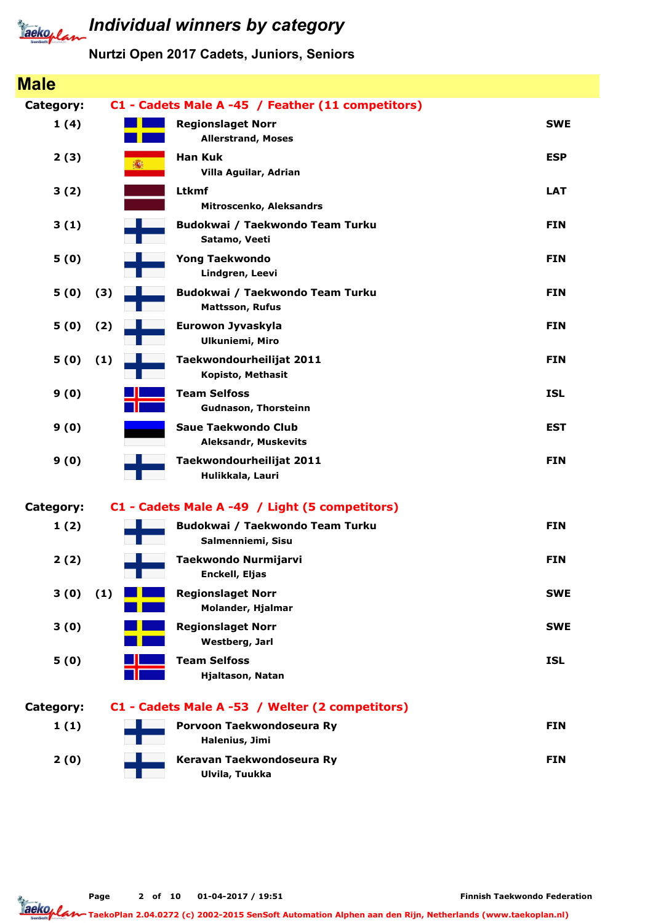

### Individual winners by category

#### Nurtzi Open 2017 Cadets, Juniors, Seniors

| <b>Male</b> |     |                                                           |            |
|-------------|-----|-----------------------------------------------------------|------------|
| Category:   |     | C1 - Cadets Male A -45 / Feather (11 competitors)         |            |
| 1(4)        |     | <b>Regionslaget Norr</b><br><b>Allerstrand, Moses</b>     | <b>SWE</b> |
| 2(3)        | 瓣   | <b>Han Kuk</b><br>Villa Aguilar, Adrian                   | <b>ESP</b> |
| 3(2)        |     | <b>Ltkmf</b><br>Mitroscenko, Aleksandrs                   | <b>LAT</b> |
| 3(1)        |     | Budokwai / Taekwondo Team Turku<br>Satamo, Veeti          | <b>FIN</b> |
| 5(0)        |     | <b>Yong Taekwondo</b><br>Lindgren, Leevi                  | <b>FIN</b> |
| 5(0)        | (3) | Budokwai / Taekwondo Team Turku<br><b>Mattsson, Rufus</b> | <b>FIN</b> |
| 5(0)        | (2) | Eurowon Jyvaskyla<br><b>Ulkuniemi, Miro</b>               | <b>FIN</b> |
| 5(0)        | (1) | Taekwondourheilijat 2011<br>Kopisto, Methasit             | <b>FIN</b> |
| 9(0)        |     | <b>Team Selfoss</b><br><b>Gudnason, Thorsteinn</b>        | <b>ISL</b> |
| 9(0)        |     | <b>Saue Taekwondo Club</b><br><b>Aleksandr, Muskevits</b> | <b>EST</b> |
| 9(0)        |     | Taekwondourheilijat 2011<br>Hulikkala, Lauri              | <b>FIN</b> |
| Category:   |     | C1 - Cadets Male A -49 / Light (5 competitors)            |            |
| 1(2)        |     | Budokwai / Taekwondo Team Turku<br>Salmenniemi, Sisu      | <b>FIN</b> |
| 2(2)        |     | Taekwondo Nurmijarvi<br>Enckell, Eljas                    | <b>FIN</b> |
| 3(0)        | (1) | <b>Regionslaget Norr</b><br>Molander, Hjalmar             | <b>SWE</b> |
| 3(0)        |     | <b>Regionslaget Norr</b><br>Westberg, Jarl                | <b>SWE</b> |
| 5(0)        |     | <b>Team Selfoss</b><br>Hjaltason, Natan                   | <b>ISL</b> |
| Category:   |     | C1 - Cadets Male A -53 / Welter (2 competitors)           |            |
| 1(1)        |     | Porvoon Taekwondoseura Ry<br>Halenius, Jimi               | <b>FIN</b> |
| 2(0)        |     | Keravan Taekwondoseura Ry<br>Ulvila, Tuukka               | <b>FIN</b> |
|             |     |                                                           |            |

Page 2 of 10 01-04-2017 / 19:51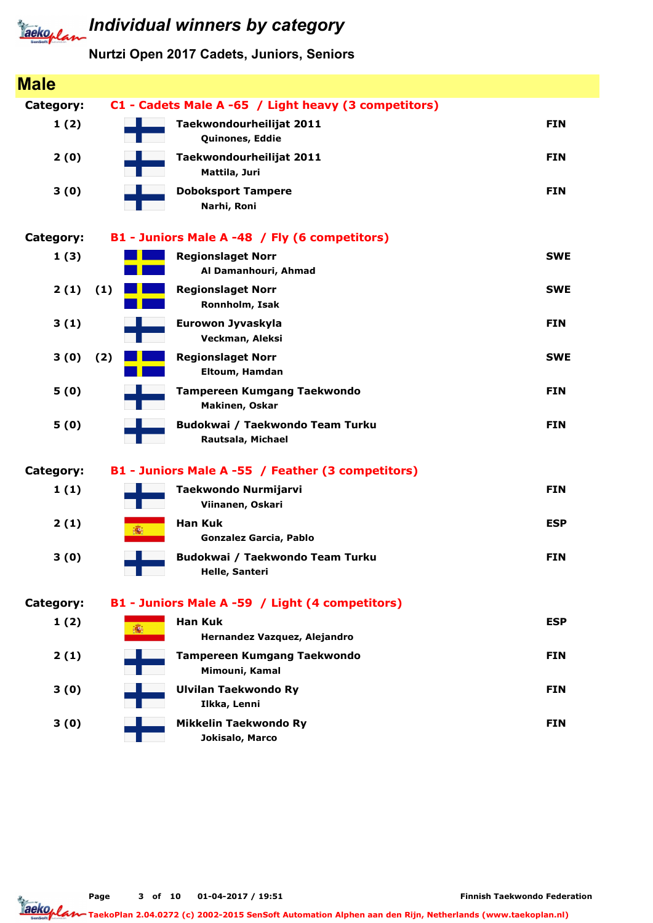### **Jacko, Land Individual winners by category**

### Nurtzi Open 2017 Cadets, Juniors, Seniors

| <b>Male</b> |     |                                                      |            |
|-------------|-----|------------------------------------------------------|------------|
| Category:   |     | C1 - Cadets Male A -65 / Light heavy (3 competitors) |            |
| 1(2)        |     | Taekwondourheilijat 2011<br>Quinones, Eddie          | <b>FIN</b> |
| 2(0)        |     | Taekwondourheilijat 2011<br>Mattila, Juri            | <b>FIN</b> |
| 3(0)        |     | <b>Doboksport Tampere</b><br>Narhi, Roni             | <b>FIN</b> |
| Category:   |     | B1 - Juniors Male A -48 / Fly (6 competitors)        |            |
| 1(3)        |     | <b>Regionslaget Norr</b><br>Al Damanhouri, Ahmad     | <b>SWE</b> |
| 2(1)        | (1) | <b>Regionslaget Norr</b><br>Ronnholm, Isak           | <b>SWE</b> |
| 3(1)        |     | Eurowon Jyvaskyla<br>Veckman, Aleksi                 | <b>FIN</b> |
| 3(0)        | (2) | <b>Regionslaget Norr</b><br>Eltoum, Hamdan           | <b>SWE</b> |
| 5(0)        |     | <b>Tampereen Kumgang Taekwondo</b><br>Makinen, Oskar | <b>FIN</b> |
| 5(0)        |     | Budokwai / Taekwondo Team Turku<br>Rautsala, Michael | <b>FIN</b> |
| Category:   |     | B1 - Juniors Male A -55 / Feather (3 competitors)    |            |
| 1(1)        |     | Taekwondo Nurmijarvi<br>Viinanen, Oskari             | <b>FIN</b> |
| 2(1)        | 痛   | <b>Han Kuk</b><br><b>Gonzalez Garcia, Pablo</b>      | <b>ESP</b> |
| 3(0)        |     | Budokwai / Taekwondo Team Turku<br>Helle, Santeri    | <b>FIN</b> |
| Category:   |     | B1 - Juniors Male A -59 / Light (4 competitors)      |            |
| 1(2)        | 瓣   | <b>Han Kuk</b><br>Hernandez Vazquez, Alejandro       | <b>ESP</b> |
| 2(1)        |     | <b>Tampereen Kumgang Taekwondo</b><br>Mimouni, Kamal | <b>FIN</b> |
| 3(0)        |     | <b>Ulvilan Taekwondo Ry</b><br>Ilkka, Lenni          | <b>FIN</b> |
| 3(0)        |     | Mikkelin Taekwondo Ry<br>Jokisalo, Marco             | <b>FIN</b> |

Page 3 of 10 01-04-2017 / 19:51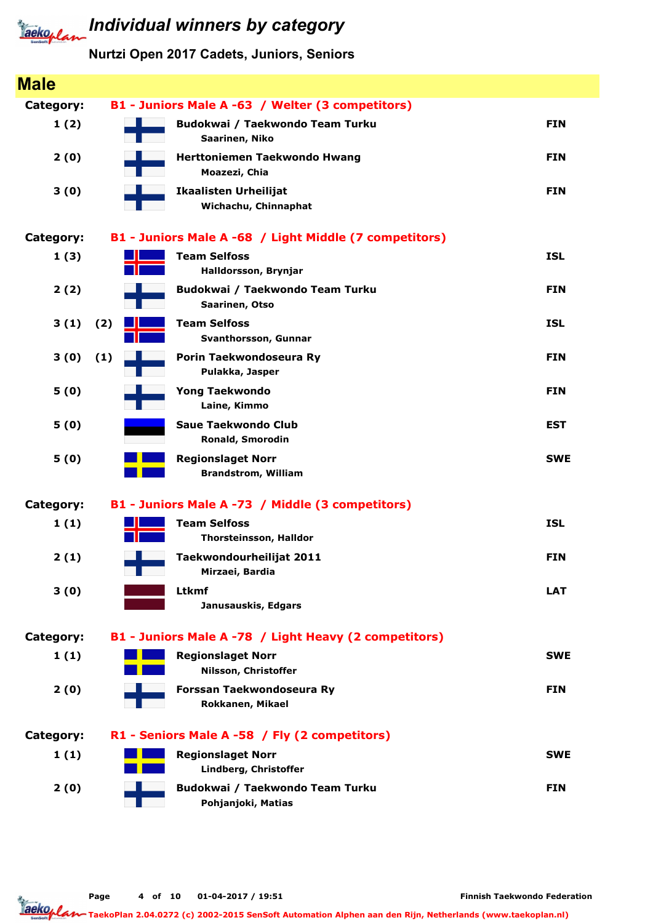

| <b>Male</b>      |     |                                                        |            |
|------------------|-----|--------------------------------------------------------|------------|
| Category:        |     | B1 - Juniors Male A -63 / Welter (3 competitors)       |            |
| 1(2)             |     | Budokwai / Taekwondo Team Turku<br>Saarinen, Niko      | <b>FIN</b> |
| 2(0)             |     | <b>Herttoniemen Taekwondo Hwang</b><br>Moazezi, Chia   | <b>FIN</b> |
| 3(0)             |     | <b>Ikaalisten Urheilijat</b><br>Wichachu, Chinnaphat   | <b>FIN</b> |
| <b>Category:</b> |     | B1 - Juniors Male A -68 / Light Middle (7 competitors) |            |
| 1(3)             |     | <b>Team Selfoss</b><br>Halldorsson, Brynjar            | <b>ISL</b> |
| 2(2)             |     | Budokwai / Taekwondo Team Turku<br>Saarinen, Otso      | <b>FIN</b> |
| 3(1)             | (2) | <b>Team Selfoss</b><br>Svanthorsson, Gunnar            | <b>ISL</b> |
| 3(0)             | (1) | Porin Taekwondoseura Ry<br>Pulakka, Jasper             | <b>FIN</b> |
| 5(0)             |     | <b>Yong Taekwondo</b><br>Laine, Kimmo                  | <b>FIN</b> |
| 5(0)             |     | <b>Saue Taekwondo Club</b><br>Ronald, Smorodin         | <b>EST</b> |
| 5(0)             |     | <b>Regionslaget Norr</b><br><b>Brandstrom, William</b> | <b>SWE</b> |
| <b>Category:</b> |     | B1 - Juniors Male A -73 / Middle (3 competitors)       |            |
| 1(1)             |     | <b>Team Selfoss</b><br><b>Thorsteinsson, Halldor</b>   | <b>ISL</b> |
| 2(1)             |     | Taekwondourheilijat 2011<br>Mirzaei, Bardia            | <b>FIN</b> |
| 3(0)             |     | Ltkmf<br>Janusauskis, Edgars                           | <b>LAT</b> |
| <b>Category:</b> |     | B1 - Juniors Male A -78 / Light Heavy (2 competitors)  |            |
| 1(1)             |     | <b>Regionslaget Norr</b><br>Nilsson, Christoffer       | <b>SWE</b> |
| 2(0)             |     | Forssan Taekwondoseura Ry<br>Rokkanen, Mikael          | <b>FIN</b> |
| <b>Category:</b> |     | R1 - Seniors Male A -58 / Fly (2 competitors)          |            |
| 1(1)             |     | <b>Regionslaget Norr</b><br>Lindberg, Christoffer      | <b>SWE</b> |
| 2(0)             |     | Budokwai / Taekwondo Team Turku<br>Pohjanjoki, Matias  | <b>FIN</b> |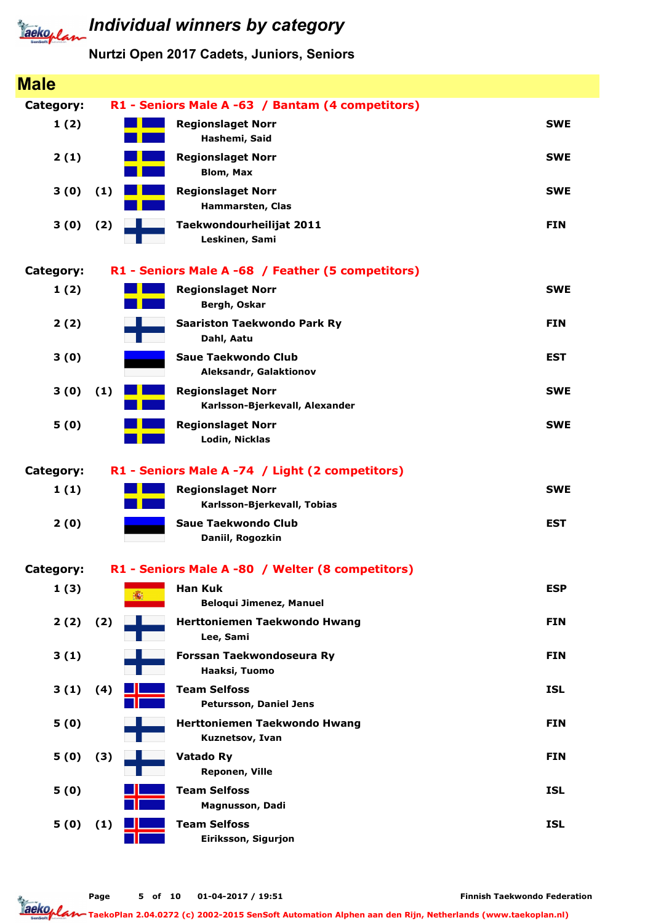### Nurtzi Open 2017 Cadets, Juniors, Seniors

| <b>Male</b> |     |                                                            |            |
|-------------|-----|------------------------------------------------------------|------------|
| Category:   |     | R1 - Seniors Male A -63 / Bantam (4 competitors)           |            |
| 1(2)        |     | <b>Regionslaget Norr</b><br>Hashemi, Said                  | <b>SWE</b> |
| 2(1)        |     | <b>Regionslaget Norr</b><br><b>Blom, Max</b>               | <b>SWE</b> |
| 3(0)        | (1) | <b>Regionslaget Norr</b><br>Hammarsten, Clas               | <b>SWE</b> |
| 3(0)        | (2) | Taekwondourheilijat 2011<br>Leskinen, Sami                 | <b>FIN</b> |
| Category:   |     | R1 - Seniors Male A -68 / Feather (5 competitors)          |            |
| 1(2)        |     | <b>Regionslaget Norr</b><br>Bergh, Oskar                   | <b>SWE</b> |
| 2(2)        |     | <b>Saariston Taekwondo Park Ry</b><br>Dahl, Aatu           | <b>FIN</b> |
| 3(0)        |     | <b>Saue Taekwondo Club</b><br>Aleksandr, Galaktionov       | <b>EST</b> |
| 3(0)        | (1) | <b>Regionslaget Norr</b><br>Karlsson-Bjerkevall, Alexander | <b>SWE</b> |
| 5(0)        |     | <b>Regionslaget Norr</b><br>Lodin, Nicklas                 | <b>SWE</b> |
| Category:   |     | R1 - Seniors Male A -74 / Light (2 competitors)            |            |
| 1(1)        |     | <b>Regionslaget Norr</b><br>Karlsson-Bjerkevall, Tobias    | <b>SWE</b> |
| 2(0)        |     | <b>Saue Taekwondo Club</b><br>Daniil, Rogozkin             | <b>EST</b> |
| Category:   |     | R1 - Seniors Male A -80 / Welter (8 competitors)           |            |
| 1(3)        | 禱   | <b>Han Kuk</b><br><b>Beloqui Jimenez, Manuel</b>           | <b>ESP</b> |
| 2(2)        | (2) | <b>Herttoniemen Taekwondo Hwang</b><br>Lee, Sami           | <b>FIN</b> |
| 3(1)        |     | Forssan Taekwondoseura Ry<br>Haaksi, Tuomo                 | <b>FIN</b> |
| 3(1)        | (4) | <b>Team Selfoss</b><br>Petursson, Daniel Jens              | <b>ISL</b> |
| 5(0)        |     | Herttoniemen Taekwondo Hwang<br>Kuznetsov, Ivan            | <b>FIN</b> |
| 5(0)        | (3) | Vatado Ry<br>Reponen, Ville                                | <b>FIN</b> |
| 5(0)        |     | <b>Team Selfoss</b><br>Magnusson, Dadi                     | <b>ISL</b> |
| 5(0)        | (1) | <b>Team Selfoss</b><br>Eiriksson, Sigurjon                 | <b>ISL</b> |
|             |     |                                                            |            |

Finnish Taekwondo Federation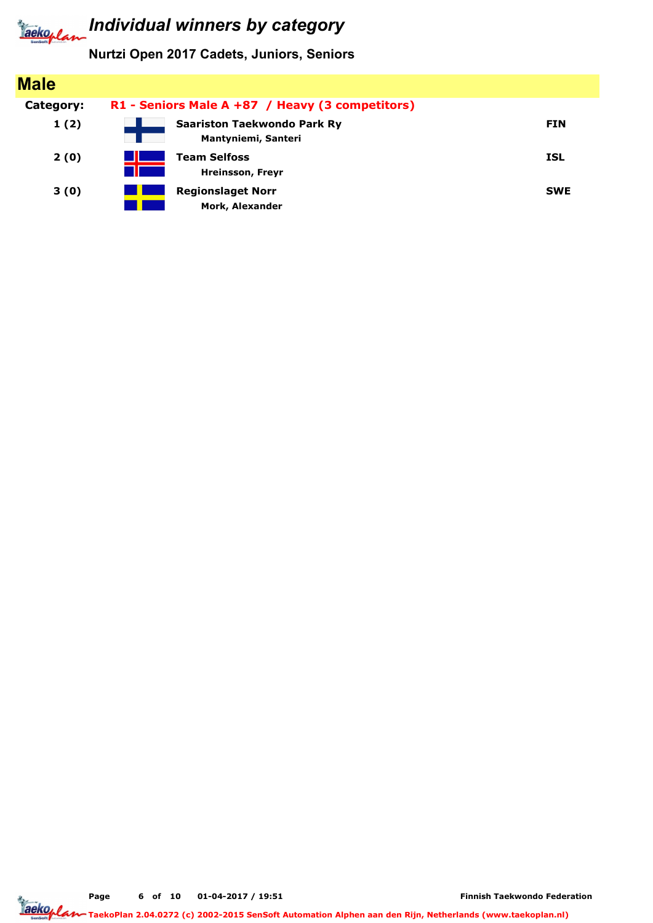

Nurtzi Open 2017 Cadets, Juniors, Seniors

| <b>Male</b> |                                                    |            |
|-------------|----------------------------------------------------|------------|
| Category:   | R1 - Seniors Male A +87 / Heavy (3 competitors)    |            |
| 1(2)        | Saariston Taekwondo Park Ry<br>Mantyniemi, Santeri | <b>FIN</b> |
| 2(0)        | <b>Team Selfoss</b><br><b>Hreinsson, Freyr</b>     | <b>ISL</b> |
| 3(0)        | <b>Regionslaget Norr</b><br>Mork, Alexander        | <b>SWE</b> |

Page 6 of 10 01-04-2017 / 19:51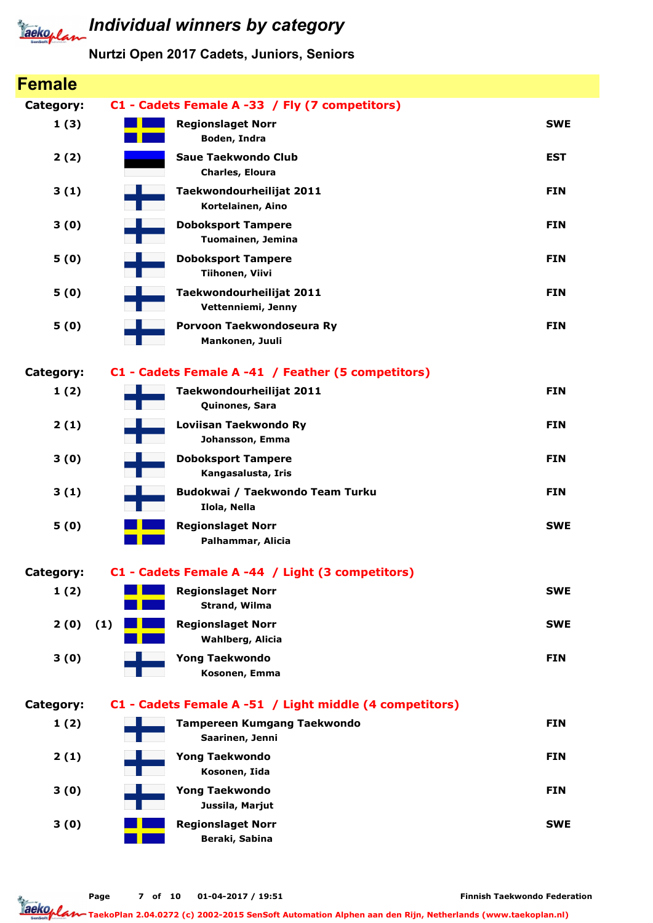

| <b>Female</b>    |     |                                                         |            |
|------------------|-----|---------------------------------------------------------|------------|
| Category:        |     | C1 - Cadets Female A -33 / Fly (7 competitors)          |            |
| 1(3)             |     | <b>Regionslaget Norr</b><br>Boden, Indra                | <b>SWE</b> |
| 2(2)             |     | <b>Saue Taekwondo Club</b><br>Charles, Eloura           | <b>EST</b> |
| 3(1)             |     | Taekwondourheilijat 2011<br>Kortelainen, Aino           | <b>FIN</b> |
| 3(0)             |     | <b>Doboksport Tampere</b><br>Tuomainen, Jemina          | <b>FIN</b> |
| 5(0)             |     | <b>Doboksport Tampere</b><br>Tiihonen, Viivi            | <b>FIN</b> |
| 5(0)             |     | Taekwondourheilijat 2011<br>Vettenniemi, Jenny          | <b>FIN</b> |
| 5(0)             |     | Porvoon Taekwondoseura Ry<br>Mankonen, Juuli            | <b>FIN</b> |
| <b>Category:</b> |     | C1 - Cadets Female A -41 / Feather (5 competitors)      |            |
| 1(2)             |     | Taekwondourheilijat 2011<br>Quinones, Sara              | <b>FIN</b> |
| 2(1)             |     | Loviisan Taekwondo Ry<br>Johansson, Emma                | <b>FIN</b> |
| 3(0)             |     | <b>Doboksport Tampere</b><br>Kangasalusta, Iris         | <b>FIN</b> |
| 3(1)             |     | Budokwai / Taekwondo Team Turku<br>Ilola, Nella         | <b>FIN</b> |
| 5(0)             |     | <b>Regionslaget Norr</b><br>Palhammar, Alicia           | <b>SWE</b> |
| Category:        |     | C1 - Cadets Female A -44 / Light (3 competitors)        |            |
| 1(2)             |     | <b>Regionslaget Norr</b><br>Strand, Wilma               | <b>SWE</b> |
| 2(0)             | (1) | <b>Regionslaget Norr</b><br><b>Wahlberg, Alicia</b>     | <b>SWE</b> |
| 3(0)             |     | <b>Yong Taekwondo</b><br>Kosonen, Emma                  | <b>FIN</b> |
| <b>Category:</b> |     | C1 - Cadets Female A -51 / Light middle (4 competitors) |            |
| 1(2)             |     | Tampereen Kumgang Taekwondo<br>Saarinen, Jenni          | <b>FIN</b> |
| 2(1)             |     | <b>Yong Taekwondo</b><br>Kosonen, Iida                  | <b>FIN</b> |
| 3(0)             |     | <b>Yong Taekwondo</b><br>Jussila, Marjut                | <b>FIN</b> |
| 3(0)             |     | <b>Regionslaget Norr</b><br>Beraki, Sabina              | <b>SWE</b> |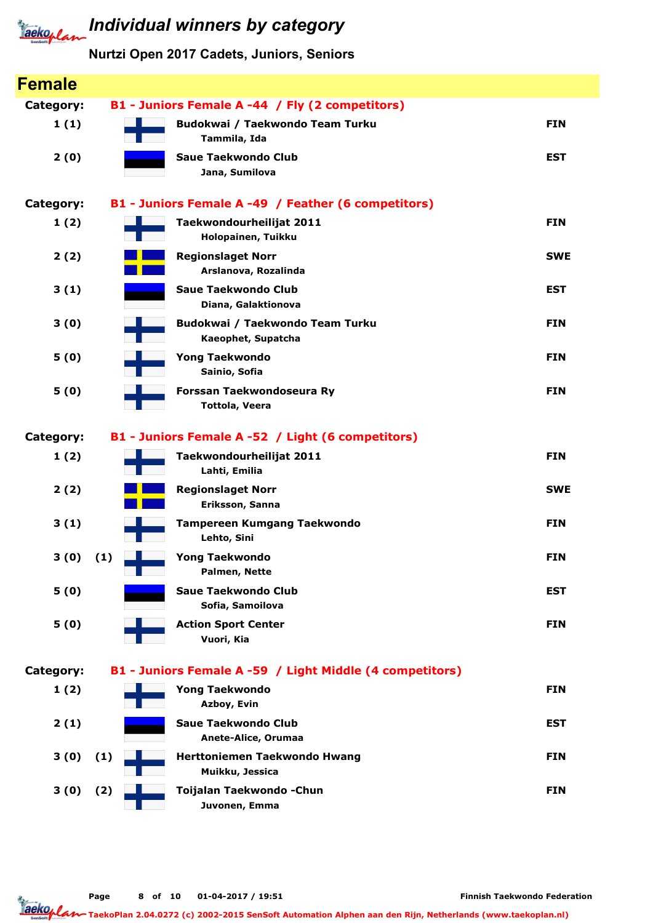

| <b>Female</b>    |                                                          |            |
|------------------|----------------------------------------------------------|------------|
| <b>Category:</b> | B1 - Juniors Female A -44 / Fly (2 competitors)          |            |
| 1(1)             | Budokwai / Taekwondo Team Turku<br>Tammila, Ida          | <b>FIN</b> |
| 2(0)             | <b>Saue Taekwondo Club</b><br>Jana, Sumilova             | <b>EST</b> |
| <b>Category:</b> | B1 - Juniors Female A -49 / Feather (6 competitors)      |            |
| 1(2)             | Taekwondourheilijat 2011<br>Holopainen, Tuikku           | <b>FIN</b> |
| 2(2)             | <b>Regionslaget Norr</b><br>Arslanova, Rozalinda         | <b>SWE</b> |
| 3(1)             | <b>Saue Taekwondo Club</b><br>Diana, Galaktionova        | <b>EST</b> |
| 3(0)             | Budokwai / Taekwondo Team Turku<br>Kaeophet, Supatcha    | <b>FIN</b> |
| 5(0)             | <b>Yong Taekwondo</b><br>Sainio, Sofia                   | <b>FIN</b> |
| 5(0)             | Forssan Taekwondoseura Ry<br><b>Tottola, Veera</b>       | <b>FIN</b> |
| <b>Category:</b> | B1 - Juniors Female A -52 / Light (6 competitors)        |            |
| 1(2)             | Taekwondourheilijat 2011<br>Lahti, Emilia                | <b>FIN</b> |
| 2(2)             | <b>Regionslaget Norr</b><br>Eriksson, Sanna              | <b>SWE</b> |
| 3(1)             | <b>Tampereen Kumgang Taekwondo</b><br>Lehto, Sini        | <b>FIN</b> |
| 3(0)             | (1)<br><b>Yong Taekwondo</b><br>Palmen, Nette            | <b>FIN</b> |
| 5(0)             | <b>Saue Taekwondo Club</b><br>Sofia, Samoilova           | <b>EST</b> |
| 5(0)             | <b>Action Sport Center</b><br>Vuori, Kia                 | <b>FIN</b> |
| Category:        | B1 - Juniors Female A -59 / Light Middle (4 competitors) |            |
| 1(2)             | <b>Yong Taekwondo</b><br>Azboy, Evin                     | <b>FIN</b> |
| 2(1)             | <b>Saue Taekwondo Club</b><br>Anete-Alice, Orumaa        | <b>EST</b> |
| 3(0)             | Herttoniemen Taekwondo Hwang<br>(1)<br>Muikku, Jessica   | <b>FIN</b> |
| 3(0)             | Toijalan Taekwondo - Chun<br>(2)<br>Juvonen, Emma        | <b>FIN</b> |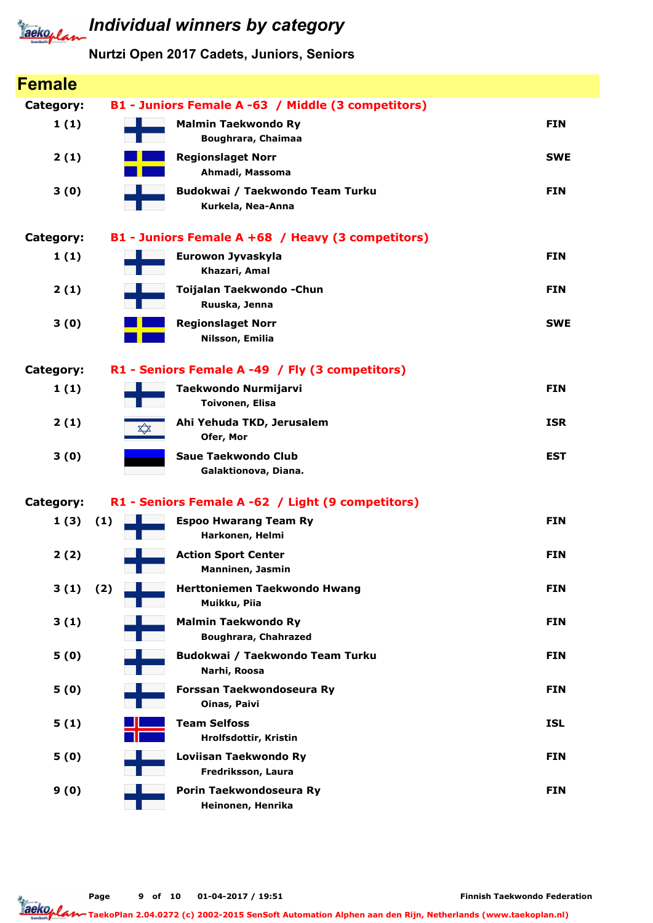

| <b>Female</b> |     |                                                           |            |
|---------------|-----|-----------------------------------------------------------|------------|
| Category:     |     | B1 - Juniors Female A -63 / Middle (3 competitors)        |            |
| 1(1)          |     | <b>Malmin Taekwondo Ry</b><br>Boughrara, Chaimaa          | <b>FIN</b> |
| 2(1)          |     | <b>Regionslaget Norr</b><br>Ahmadi, Massoma               | <b>SWE</b> |
| 3(0)          |     | Budokwai / Taekwondo Team Turku<br>Kurkela, Nea-Anna      | <b>FIN</b> |
| Category:     |     | B1 - Juniors Female A +68 / Heavy (3 competitors)         |            |
| 1(1)          |     | Eurowon Jyvaskyla<br>Khazari, Amal                        | <b>FIN</b> |
| 2(1)          |     | Toijalan Taekwondo - Chun<br>Ruuska, Jenna                | <b>FIN</b> |
| 3(0)          |     | <b>Regionslaget Norr</b><br>Nilsson, Emilia               | <b>SWE</b> |
| Category:     |     | R1 - Seniors Female A -49 / Fly (3 competitors)           |            |
| 1(1)          |     | <b>Taekwondo Nurmijarvi</b><br><b>Toivonen, Elisa</b>     | <b>FIN</b> |
| 2(1)          | ╳   | Ahi Yehuda TKD, Jerusalem<br>Ofer, Mor                    | <b>ISR</b> |
| 3(0)          |     | <b>Saue Taekwondo Club</b><br>Galaktionova, Diana.        | <b>EST</b> |
| Category:     |     | R1 - Seniors Female A -62 / Light (9 competitors)         |            |
| 1(3)          | (1) | <b>Espoo Hwarang Team Ry</b><br>Harkonen, Helmi           | <b>FIN</b> |
| 2(2)          |     | <b>Action Sport Center</b><br><b>Manninen, Jasmin</b>     | <b>FIN</b> |
| 3(1)          | (2) | Herttoniemen Taekwondo Hwang<br>Muikku, Piia              | <b>FIN</b> |
| 3(1)          |     | <b>Malmin Taekwondo Ry</b><br><b>Boughrara, Chahrazed</b> | <b>FIN</b> |
| 5(0)          |     | Budokwai / Taekwondo Team Turku<br>Narhi, Roosa           | <b>FIN</b> |
| 5(0)          |     | Forssan Taekwondoseura Ry<br>Oinas, Paivi                 | <b>FIN</b> |
| 5(1)          |     | <b>Team Selfoss</b><br>Hrolfsdottir, Kristin              | <b>ISL</b> |
| 5(0)          |     | Loviisan Taekwondo Ry<br>Fredriksson, Laura               | <b>FIN</b> |
| 9(0)          |     | Porin Taekwondoseura Ry<br>Heinonen, Henrika              | <b>FIN</b> |